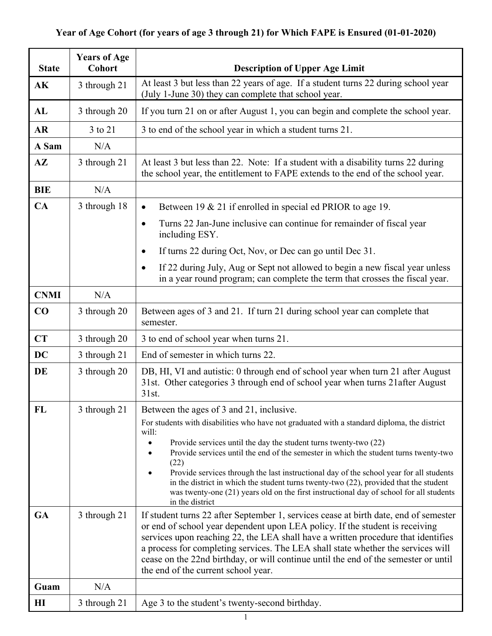## **Year of Age Cohort (for years of age 3 through 21) for Which FAPE is Ensured (01-01-2020)**

| <b>State</b>  | <b>Years of Age</b><br><b>Cohort</b> | <b>Description of Upper Age Limit</b>                                                                                                                                                                                                                                                                                                                                                                                                                                           |
|---------------|--------------------------------------|---------------------------------------------------------------------------------------------------------------------------------------------------------------------------------------------------------------------------------------------------------------------------------------------------------------------------------------------------------------------------------------------------------------------------------------------------------------------------------|
| AK            | 3 through 21                         | At least 3 but less than 22 years of age. If a student turns 22 during school year<br>(July 1-June 30) they can complete that school year.                                                                                                                                                                                                                                                                                                                                      |
| AL            | 3 through 20                         | If you turn 21 on or after August 1, you can begin and complete the school year.                                                                                                                                                                                                                                                                                                                                                                                                |
| <b>AR</b>     | 3 to 21                              | 3 to end of the school year in which a student turns 21.                                                                                                                                                                                                                                                                                                                                                                                                                        |
| A Sam         | N/A                                  |                                                                                                                                                                                                                                                                                                                                                                                                                                                                                 |
| $A\mathbf{Z}$ | 3 through 21                         | At least 3 but less than 22. Note: If a student with a disability turns 22 during<br>the school year, the entitlement to FAPE extends to the end of the school year.                                                                                                                                                                                                                                                                                                            |
| <b>BIE</b>    | N/A                                  |                                                                                                                                                                                                                                                                                                                                                                                                                                                                                 |
| CA            | 3 through 18                         | Between 19 & 21 if enrolled in special ed PRIOR to age 19.<br>$\bullet$                                                                                                                                                                                                                                                                                                                                                                                                         |
|               |                                      | Turns 22 Jan-June inclusive can continue for remainder of fiscal year<br>$\bullet$<br>including ESY.                                                                                                                                                                                                                                                                                                                                                                            |
|               |                                      | If turns 22 during Oct, Nov, or Dec can go until Dec 31.<br>$\bullet$                                                                                                                                                                                                                                                                                                                                                                                                           |
|               |                                      | If 22 during July, Aug or Sept not allowed to begin a new fiscal year unless<br>$\bullet$<br>in a year round program; can complete the term that crosses the fiscal year.                                                                                                                                                                                                                                                                                                       |
| <b>CNMI</b>   | N/A                                  |                                                                                                                                                                                                                                                                                                                                                                                                                                                                                 |
| CO            | 3 through 20                         | Between ages of 3 and 21. If turn 21 during school year can complete that<br>semester.                                                                                                                                                                                                                                                                                                                                                                                          |
| CT            | 3 through 20                         | 3 to end of school year when turns 21.                                                                                                                                                                                                                                                                                                                                                                                                                                          |
| <b>DC</b>     | 3 through 21                         | End of semester in which turns 22.                                                                                                                                                                                                                                                                                                                                                                                                                                              |
| DE            | 3 through 20                         | DB, HI, VI and autistic: 0 through end of school year when turn 21 after August<br>31st. Other categories 3 through end of school year when turns 21 after August<br>31st.                                                                                                                                                                                                                                                                                                      |
| FL            | 3 through 21                         | Between the ages of 3 and 21, inclusive.                                                                                                                                                                                                                                                                                                                                                                                                                                        |
|               |                                      | For students with disabilities who have not graduated with a standard diploma, the district<br>will:                                                                                                                                                                                                                                                                                                                                                                            |
|               |                                      | Provide services until the day the student turns twenty-two (22)<br>$\bullet$<br>Provide services until the end of the semester in which the student turns twenty-two<br>(22)<br>Provide services through the last instructional day of the school year for all students<br>in the district in which the student turns twenty-two (22), provided that the student<br>was twenty-one (21) years old on the first instructional day of school for all students<br>in the district |
| <b>GA</b>     | 3 through 21                         | If student turns 22 after September 1, services cease at birth date, end of semester<br>or end of school year dependent upon LEA policy. If the student is receiving<br>services upon reaching 22, the LEA shall have a written procedure that identifies<br>a process for completing services. The LEA shall state whether the services will<br>cease on the 22nd birthday, or will continue until the end of the semester or until<br>the end of the current school year.     |
| Guam          | N/A                                  |                                                                                                                                                                                                                                                                                                                                                                                                                                                                                 |
| $\mathbf{H}$  | 3 through 21                         | Age 3 to the student's twenty-second birthday.                                                                                                                                                                                                                                                                                                                                                                                                                                  |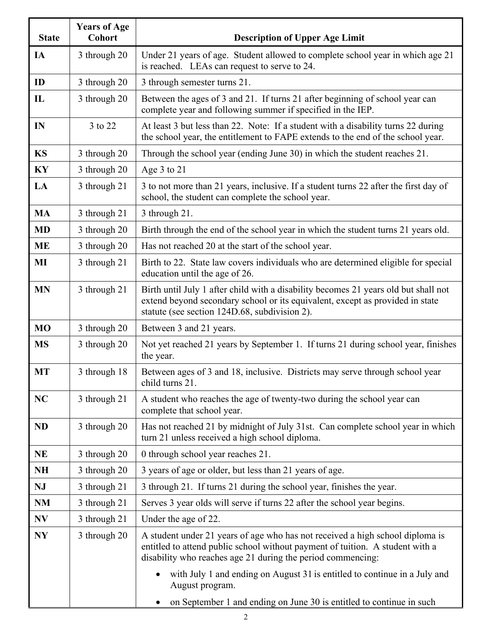| <b>State</b> | <b>Years of Age</b><br><b>Cohort</b> | <b>Description of Upper Age Limit</b>                                                                                                                                                                                         |
|--------------|--------------------------------------|-------------------------------------------------------------------------------------------------------------------------------------------------------------------------------------------------------------------------------|
| IA           | 3 through 20                         | Under 21 years of age. Student allowed to complete school year in which age 21<br>is reached. LEAs can request to serve to 24.                                                                                                |
| ID           | 3 through 20                         | 3 through semester turns 21.                                                                                                                                                                                                  |
| $\mathbf{L}$ | 3 through 20                         | Between the ages of 3 and 21. If turns 21 after beginning of school year can<br>complete year and following summer if specified in the IEP.                                                                                   |
| IN           | 3 to 22                              | At least 3 but less than 22. Note: If a student with a disability turns 22 during<br>the school year, the entitlement to FAPE extends to the end of the school year.                                                          |
| <b>KS</b>    | 3 through 20                         | Through the school year (ending June 30) in which the student reaches 21.                                                                                                                                                     |
| KY           | 3 through 20                         | Age 3 to 21                                                                                                                                                                                                                   |
| LA           | 3 through 21                         | 3 to not more than 21 years, inclusive. If a student turns 22 after the first day of<br>school, the student can complete the school year.                                                                                     |
| <b>MA</b>    | 3 through 21                         | 3 through 21.                                                                                                                                                                                                                 |
| <b>MD</b>    | 3 through 20                         | Birth through the end of the school year in which the student turns 21 years old.                                                                                                                                             |
| <b>ME</b>    | 3 through 20                         | Has not reached 20 at the start of the school year.                                                                                                                                                                           |
| MI           | 3 through 21                         | Birth to 22. State law covers individuals who are determined eligible for special<br>education until the age of 26.                                                                                                           |
| <b>MN</b>    | 3 through 21                         | Birth until July 1 after child with a disability becomes 21 years old but shall not<br>extend beyond secondary school or its equivalent, except as provided in state<br>statute (see section 124D.68, subdivision 2).         |
| <b>MO</b>    | 3 through 20                         | Between 3 and 21 years.                                                                                                                                                                                                       |
| <b>MS</b>    | 3 through 20                         | Not yet reached 21 years by September 1. If turns 21 during school year, finishes<br>the year.                                                                                                                                |
| <b>MT</b>    | 3 through 18                         | Between ages of 3 and 18, inclusive. Districts may serve through school year<br>child turns 21.                                                                                                                               |
| NC           | 3 through 21                         | A student who reaches the age of twenty-two during the school year can<br>complete that school year.                                                                                                                          |
| <b>ND</b>    | 3 through 20                         | Has not reached 21 by midnight of July 31st. Can complete school year in which<br>turn 21 unless received a high school diploma.                                                                                              |
| <b>NE</b>    | 3 through 20                         | 0 through school year reaches 21.                                                                                                                                                                                             |
| <b>NH</b>    | 3 through 20                         | 3 years of age or older, but less than 21 years of age.                                                                                                                                                                       |
| NJ           | 3 through 21                         | 3 through 21. If turns 21 during the school year, finishes the year.                                                                                                                                                          |
| <b>NM</b>    | 3 through 21                         | Serves 3 year olds will serve if turns 22 after the school year begins.                                                                                                                                                       |
| NV           | 3 through 21                         | Under the age of 22.                                                                                                                                                                                                          |
| <b>NY</b>    | 3 through 20                         | A student under 21 years of age who has not received a high school diploma is<br>entitled to attend public school without payment of tuition. A student with a<br>disability who reaches age 21 during the period commencing: |
|              |                                      | with July 1 and ending on August 31 is entitled to continue in a July and<br>August program.                                                                                                                                  |
|              |                                      | on September 1 and ending on June 30 is entitled to continue in such<br>$\bullet$                                                                                                                                             |